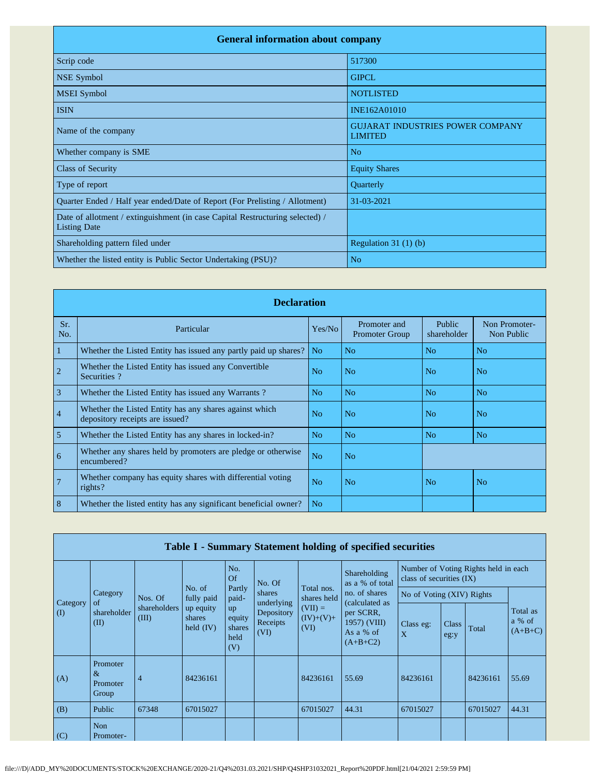| <b>General information about company</b>                                                             |                                                           |
|------------------------------------------------------------------------------------------------------|-----------------------------------------------------------|
| Scrip code                                                                                           | 517300                                                    |
| <b>NSE Symbol</b>                                                                                    | <b>GIPCL</b>                                              |
| <b>MSEI</b> Symbol                                                                                   | <b>NOTLISTED</b>                                          |
| <b>ISIN</b>                                                                                          | INE162A01010                                              |
| Name of the company                                                                                  | <b>GUJARAT INDUSTRIES POWER COMPANY</b><br><b>LIMITED</b> |
| Whether company is SME                                                                               | N <sub>o</sub>                                            |
| <b>Class of Security</b>                                                                             | <b>Equity Shares</b>                                      |
| Type of report                                                                                       | Quarterly                                                 |
| Quarter Ended / Half year ended/Date of Report (For Prelisting / Allotment)                          | 31-03-2021                                                |
| Date of allotment / extinguishment (in case Capital Restructuring selected) /<br><b>Listing Date</b> |                                                           |
| Shareholding pattern filed under                                                                     | Regulation $31(1)(b)$                                     |
| Whether the listed entity is Public Sector Undertaking (PSU)?                                        | N <sub>o</sub>                                            |

|                | <b>Declaration</b>                                                                        |                |                                       |                       |                             |
|----------------|-------------------------------------------------------------------------------------------|----------------|---------------------------------------|-----------------------|-----------------------------|
| Sr.<br>No.     | Particular                                                                                | Yes/No         | Promoter and<br><b>Promoter Group</b> | Public<br>shareholder | Non Promoter-<br>Non Public |
| 1              | Whether the Listed Entity has issued any partly paid up shares?                           | N <sub>o</sub> | N <sub>o</sub>                        | N <sub>o</sub>        | N <sub>o</sub>              |
| $\overline{2}$ | Whether the Listed Entity has issued any Convertible<br>Securities?                       | N <sub>0</sub> | N <sub>o</sub>                        | N <sub>o</sub>        | N <sub>o</sub>              |
| $\overline{3}$ | Whether the Listed Entity has issued any Warrants?                                        | N <sub>o</sub> | No                                    | N <sub>0</sub>        | N <sub>o</sub>              |
| $\overline{4}$ | Whether the Listed Entity has any shares against which<br>depository receipts are issued? | N <sub>o</sub> | N <sub>o</sub>                        | N <sub>o</sub>        | N <sub>o</sub>              |
| $\overline{5}$ | Whether the Listed Entity has any shares in locked-in?                                    | No             | No                                    | N <sub>0</sub>        | N <sub>0</sub>              |
| 6              | Whether any shares held by promoters are pledge or otherwise<br>encumbered?               | N <sub>o</sub> | N <sub>o</sub>                        |                       |                             |
| $\overline{7}$ | Whether company has equity shares with differential voting<br>rights?                     | N <sub>o</sub> | N <sub>o</sub>                        | N <sub>o</sub>        | N <sub>o</sub>              |
| 8              | Whether the listed entity has any significant beneficial owner?                           | N <sub>o</sub> |                                       |                       |                             |

|                 |                                       |                       |                                                                                                 |                                         |                                  |                                                      | Table I - Summary Statement holding of specified securities |                                                                  |       |                                 |       |
|-----------------|---------------------------------------|-----------------------|-------------------------------------------------------------------------------------------------|-----------------------------------------|----------------------------------|------------------------------------------------------|-------------------------------------------------------------|------------------------------------------------------------------|-------|---------------------------------|-------|
|                 |                                       |                       |                                                                                                 | No.<br><b>Of</b>                        | No. Of                           |                                                      | Shareholding<br>as a % of total                             | Number of Voting Rights held in each<br>class of securities (IX) |       |                                 |       |
|                 | Category<br>of                        | Nos. Of               | No. of<br>fully paid                                                                            | Partly<br>shares<br>paid-<br>underlying |                                  | Total nos.<br>shares held                            | no. of shares<br>(calculated as                             | No of Voting (XIV) Rights                                        |       |                                 |       |
| Category<br>(I) | shareholder<br>(II)                   | shareholders<br>(III) | up equity<br>up<br>shares<br>equity<br>Receipts<br>held $(IV)$<br>shares<br>(VI)<br>held<br>(V) | Depository                              | $(VII) =$<br>$(IV)+(V)+$<br>(VI) | per SCRR,<br>1957) (VIII)<br>As a % of<br>$(A+B+C2)$ | Class eg:<br>X                                              | Class<br>eg:y                                                    | Total | Total as<br>a % of<br>$(A+B+C)$ |       |
| (A)             | Promoter<br>$\&$<br>Promoter<br>Group | $\overline{4}$        | 84236161                                                                                        |                                         |                                  | 84236161                                             | 55.69                                                       | 84236161                                                         |       | 84236161                        | 55.69 |
| (B)             | Public                                | 67348                 | 67015027                                                                                        |                                         |                                  | 67015027                                             | 44.31                                                       | 67015027                                                         |       | 67015027                        | 44.31 |
| (C)             | <b>Non</b><br>Promoter-               |                       |                                                                                                 |                                         |                                  |                                                      |                                                             |                                                                  |       |                                 |       |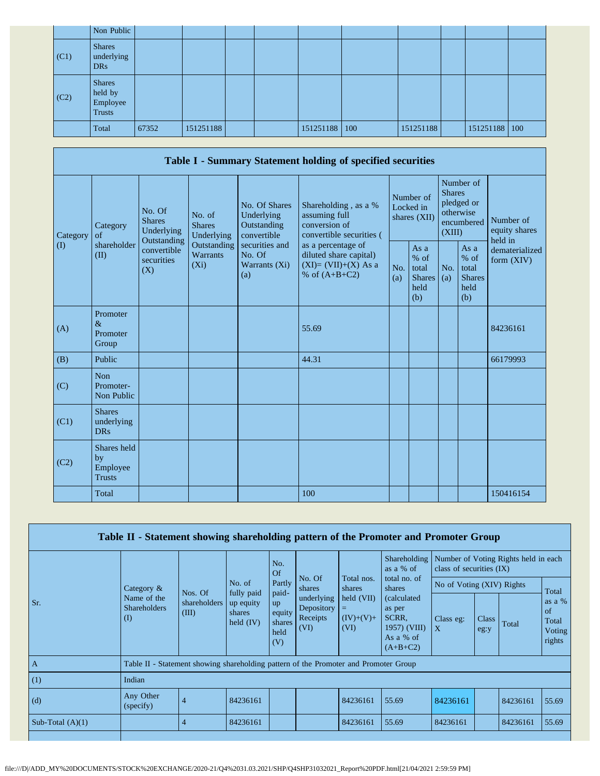|      | Non Public                                     |       |           |  |           |     |           |               |  |
|------|------------------------------------------------|-------|-----------|--|-----------|-----|-----------|---------------|--|
| (C1) | <b>Shares</b><br>underlying<br>DR <sub>s</sub> |       |           |  |           |     |           |               |  |
| (C2) | <b>Shares</b><br>held by<br>Employee<br>Trusts |       |           |  |           |     |           |               |  |
|      | Total                                          | 67352 | 151251188 |  | 151251188 | 100 | 151251188 | 151251188 100 |  |

|                            |                                                         |                                                 |                                                           |                                                                                    | Table I - Summary Statement holding of specified securities                              |            |                                                                               |            |                                                         |                                |
|----------------------------|---------------------------------------------------------|-------------------------------------------------|-----------------------------------------------------------|------------------------------------------------------------------------------------|------------------------------------------------------------------------------------------|------------|-------------------------------------------------------------------------------|------------|---------------------------------------------------------|--------------------------------|
| Category                   | No. Of<br><b>Shares</b><br>Category<br>Underlying<br>of | No. of<br><b>Shares</b><br>Underlying           | No. Of Shares<br>Underlying<br>Outstanding<br>convertible | Shareholding, as a %<br>assuming full<br>conversion of<br>convertible securities ( | Number of<br>Locked in<br>shares (XII)                                                   |            | Number of<br><b>Shares</b><br>pledged or<br>otherwise<br>encumbered<br>(XIII) |            | Number of<br>equity shares<br>held in                   |                                |
| $\left( \mathrm{I}\right)$ | shareholder<br>(II)                                     | Outstanding<br>convertible<br>securities<br>(X) | Outstanding<br>Warrants<br>$(X_i)$                        | securities and<br>No. Of<br>Warrants (Xi)<br>(a)                                   | as a percentage of<br>diluted share capital)<br>$(XI)=(VII)+(X)$ As a<br>% of $(A+B+C2)$ | No.<br>(a) | As a<br>$%$ of<br>total<br><b>Shares</b><br>held<br>(b)                       | No.<br>(a) | As a<br>$%$ of<br>total<br><b>Shares</b><br>held<br>(b) | dematerialized<br>form $(XIV)$ |
| (A)                        | Promoter<br>$\&$<br>Promoter<br>Group                   |                                                 |                                                           |                                                                                    | 55.69                                                                                    |            |                                                                               |            |                                                         | 84236161                       |
| (B)                        | Public                                                  |                                                 |                                                           |                                                                                    | 44.31                                                                                    |            |                                                                               |            |                                                         | 66179993                       |
| (C)                        | Non<br>Promoter-<br>Non Public                          |                                                 |                                                           |                                                                                    |                                                                                          |            |                                                                               |            |                                                         |                                |
| (C1)                       | <b>Shares</b><br>underlying<br><b>DRs</b>               |                                                 |                                                           |                                                                                    |                                                                                          |            |                                                                               |            |                                                         |                                |
| (C2)                       | Shares held<br>by<br>Employee<br><b>Trusts</b>          |                                                 |                                                           |                                                                                    |                                                                                          |            |                                                                               |            |                                                         |                                |
|                            | Total                                                   |                                                 |                                                           |                                                                                    | 100                                                                                      |            |                                                                               |            |                                                         | 150416154                      |

|                    | Table II - Statement showing shareholding pattern of the Promoter and Promoter Group |                |                                                  |                                                |                                              |                                        |                                                                                     |                                                                    |               |          |                                                     |
|--------------------|--------------------------------------------------------------------------------------|----------------|--------------------------------------------------|------------------------------------------------|----------------------------------------------|----------------------------------------|-------------------------------------------------------------------------------------|--------------------------------------------------------------------|---------------|----------|-----------------------------------------------------|
|                    |                                                                                      |                |                                                  | No.<br>Of                                      |                                              |                                        | Shareholding<br>as a % of                                                           | Number of Voting Rights held in each<br>class of securities $(IX)$ |               |          |                                                     |
|                    | Category $\&$                                                                        | Nos. Of        | No. of                                           | Partly                                         | No. Of<br>shares                             | Total nos.<br>shares                   | total no. of<br>shares                                                              | No of Voting (XIV) Rights                                          |               |          | Total                                               |
| Sr.                | Name of the<br><b>Shareholders</b><br>(III)<br>$\rm(D)$                              | shareholders   | fully paid<br>up equity<br>shares<br>held $(IV)$ | paid-<br>up<br>equity<br>shares<br>held<br>(V) | underlying<br>Depository<br>Receipts<br>(VI) | held (VII)<br>=<br>$(IV)+(V)+$<br>(VI) | <i>(calculated)</i><br>as per<br>SCRR.<br>1957) (VIII)<br>As a $%$ of<br>$(A+B+C2)$ | Class eg:<br>$\mathbf{X}$                                          | Class<br>eg:y | Total    | as a $%$<br>$\sigma$ f<br>Total<br>Voting<br>rights |
| $\mathbf{A}$       | Table II - Statement showing shareholding pattern of the Promoter and Promoter Group |                |                                                  |                                                |                                              |                                        |                                                                                     |                                                                    |               |          |                                                     |
| (1)                | Indian                                                                               |                |                                                  |                                                |                                              |                                        |                                                                                     |                                                                    |               |          |                                                     |
| (d)                | Any Other<br>(specify)                                                               | $\overline{4}$ | 84236161                                         |                                                |                                              | 84236161                               | 55.69                                                                               | 84236161                                                           |               | 84236161 | 55.69                                               |
| Sub-Total $(A)(1)$ |                                                                                      |                | 84236161                                         |                                                |                                              | 84236161                               | 55.69                                                                               | 84236161                                                           |               | 84236161 | 55.69                                               |
|                    |                                                                                      |                |                                                  |                                                |                                              |                                        |                                                                                     |                                                                    |               |          |                                                     |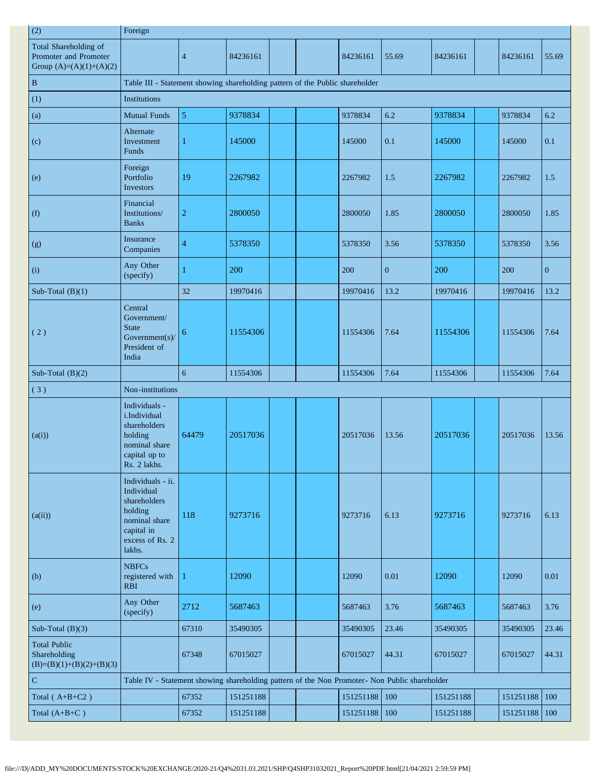| (2)                                                                         | Foreign                                                                                                                |                 |           |  |               |              |           |               |              |
|-----------------------------------------------------------------------------|------------------------------------------------------------------------------------------------------------------------|-----------------|-----------|--|---------------|--------------|-----------|---------------|--------------|
| Total Shareholding of<br>Promoter and Promoter<br>Group $(A)=(A)(1)+(A)(2)$ |                                                                                                                        | $\overline{4}$  | 84236161  |  | 84236161      | 55.69        | 84236161  | 84236161      | 55.69        |
| $\vert$ B                                                                   | Table III - Statement showing shareholding pattern of the Public shareholder                                           |                 |           |  |               |              |           |               |              |
| (1)                                                                         | <b>Institutions</b>                                                                                                    |                 |           |  |               |              |           |               |              |
| $\left( a\right)$                                                           | <b>Mutual Funds</b>                                                                                                    | $\mathfrak{s}$  | 9378834   |  | 9378834       | 6.2          | 9378834   | 9378834       | 6.2          |
| (c)                                                                         | Alternate<br>Investment<br>Funds                                                                                       |                 | 145000    |  | 145000        | 0.1          | 145000    | 145000        | 0.1          |
| (e)                                                                         | Foreign<br>Portfolio<br>Investors                                                                                      | 19              | 2267982   |  | 2267982       | 1.5          | 2267982   | 2267982       | 1.5          |
| (f)                                                                         | Financial<br>Institutions/<br><b>Banks</b>                                                                             | $\overline{c}$  | 2800050   |  | 2800050       | 1.85         | 2800050   | 2800050       | 1.85         |
| (g)                                                                         | Insurance<br>Companies                                                                                                 | 4               | 5378350   |  | 5378350       | 3.56         | 5378350   | 5378350       | 3.56         |
| (i)                                                                         | Any Other<br>(specify)                                                                                                 |                 | 200       |  | 200           | $\mathbf{0}$ | 200       | 200           | $\mathbf{0}$ |
| Sub-Total $(B)(1)$                                                          |                                                                                                                        | 32              | 19970416  |  | 19970416      | 13.2         | 19970416  | 19970416      | 13.2         |
| (2)                                                                         | Central<br>Government/<br><b>State</b><br>Government(s)/<br>President of<br>India                                      | 6               | 11554306  |  | 11554306      | 7.64         | 11554306  | 11554306      | 7.64         |
| Sub-Total $(B)(2)$                                                          |                                                                                                                        | $6\overline{6}$ | 11554306  |  | 11554306      | 7.64         | 11554306  | 11554306      | 7.64         |
| (3)                                                                         | Non-institutions                                                                                                       |                 |           |  |               |              |           |               |              |
| (a(i))                                                                      | Individuals -<br>i.Individual<br>shareholders<br>holding<br>nominal share<br>capital up to<br>Rs. 2 lakhs.             | 64479           | 20517036  |  | 20517036      | 13.56        | 20517036  | 20517036      | 13.56        |
| (a(ii))                                                                     | Individuals - ii.<br>Individual<br>shareholders<br>holding<br>nominal share<br>capital in<br>excess of Rs. 2<br>lakhs. | 118             | 9273716   |  | 9273716       | 6.13         | 9273716   | 9273716       | 6.13         |
| (b)                                                                         | <b>NBFCs</b><br>registered with<br><b>RBI</b>                                                                          |                 | 12090     |  | 12090         | 0.01         | 12090     | 12090         | 0.01         |
| (e)                                                                         | Any Other<br>(specify)                                                                                                 | 2712            | 5687463   |  | 5687463       | 3.76         | 5687463   | 5687463       | 3.76         |
| Sub-Total $(B)(3)$                                                          |                                                                                                                        | 67310           | 35490305  |  | 35490305      | 23.46        | 35490305  | 35490305      | 23.46        |
| <b>Total Public</b><br>Shareholding<br>$(B)=(B)(1)+(B)(2)+(B)(3)$           |                                                                                                                        | 67348           | 67015027  |  | 67015027      | 44.31        | 67015027  | 67015027      | 44.31        |
| $\mathbf C$                                                                 | Table IV - Statement showing shareholding pattern of the Non Promoter- Non Public shareholder                          |                 |           |  |               |              |           |               |              |
| Total $(A+B+C2)$                                                            |                                                                                                                        | 67352           | 151251188 |  | 151251188     | 100          | 151251188 | 151251188 100 |              |
| Total $(A+B+C)$                                                             |                                                                                                                        | 67352           | 151251188 |  | 151251188 100 |              | 151251188 | 151251188 100 |              |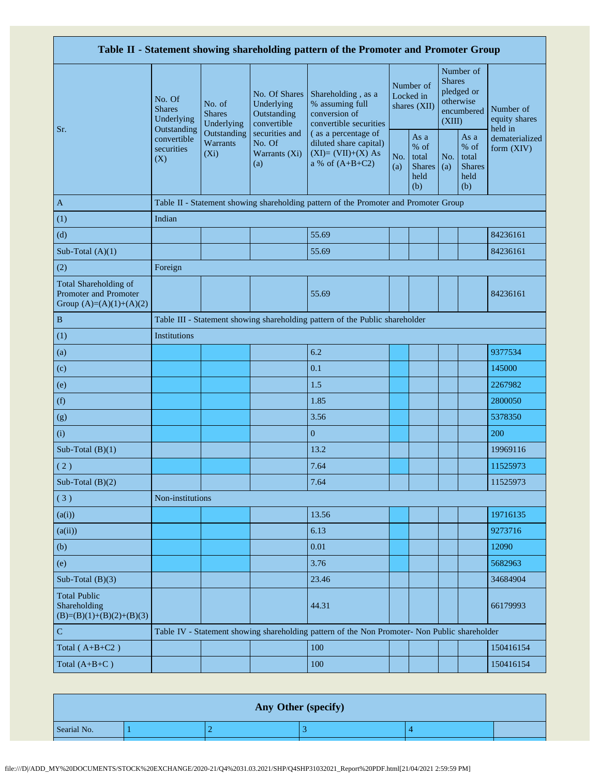|                                                                             |                                                                                               |                                                           |                                                                                  | Table II - Statement showing shareholding pattern of the Promoter and Promoter Group          |                                        |                                                         |                                                    |                                                         |                              |
|-----------------------------------------------------------------------------|-----------------------------------------------------------------------------------------------|-----------------------------------------------------------|----------------------------------------------------------------------------------|-----------------------------------------------------------------------------------------------|----------------------------------------|---------------------------------------------------------|----------------------------------------------------|---------------------------------------------------------|------------------------------|
| Sr.                                                                         | No. Of<br>No. of<br><b>Shares</b><br><b>Shares</b><br>Underlying<br>Underlying<br>Outstanding | No. Of Shares<br>Underlying<br>Outstanding<br>convertible | Shareholding, as a<br>% assuming full<br>conversion of<br>convertible securities |                                                                                               | Number of<br>Locked in<br>shares (XII) | <b>Shares</b><br>(XIII)                                 | Number of<br>pledged or<br>otherwise<br>encumbered | Number of<br>equity shares<br>held in                   |                              |
|                                                                             | convertible<br>securities<br>(X)                                                              | Outstanding<br>Warrants<br>$(X_i)$                        | securities and<br>No. Of<br>Warrants (Xi)<br>(a)                                 | (as a percentage of<br>diluted share capital)<br>$(XI)=(VII)+(X) As$<br>a % of $(A+B+C2)$     | No.<br>(a)                             | As a<br>$%$ of<br>total<br><b>Shares</b><br>held<br>(b) | No.<br>(a)                                         | As a<br>$%$ of<br>total<br><b>Shares</b><br>held<br>(b) | dematerialized<br>form (XIV) |
| $\mathbf{A}$                                                                |                                                                                               |                                                           |                                                                                  | Table II - Statement showing shareholding pattern of the Promoter and Promoter Group          |                                        |                                                         |                                                    |                                                         |                              |
| (1)                                                                         | Indian                                                                                        |                                                           |                                                                                  |                                                                                               |                                        |                                                         |                                                    |                                                         |                              |
| (d)                                                                         |                                                                                               |                                                           |                                                                                  | 55.69                                                                                         |                                        |                                                         |                                                    |                                                         | 84236161                     |
| Sub-Total $(A)(1)$                                                          |                                                                                               |                                                           |                                                                                  | 55.69                                                                                         |                                        |                                                         |                                                    |                                                         | 84236161                     |
| (2)                                                                         | Foreign                                                                                       |                                                           |                                                                                  |                                                                                               |                                        |                                                         |                                                    |                                                         |                              |
| Total Shareholding of<br>Promoter and Promoter<br>Group $(A)=(A)(1)+(A)(2)$ |                                                                                               |                                                           |                                                                                  | 55.69                                                                                         |                                        |                                                         |                                                    |                                                         | 84236161                     |
| $\, {\bf B}$                                                                |                                                                                               |                                                           |                                                                                  | Table III - Statement showing shareholding pattern of the Public shareholder                  |                                        |                                                         |                                                    |                                                         |                              |
| (1)                                                                         | Institutions                                                                                  |                                                           |                                                                                  |                                                                                               |                                        |                                                         |                                                    |                                                         |                              |
| (a)                                                                         |                                                                                               |                                                           |                                                                                  | 6.2                                                                                           |                                        |                                                         |                                                    |                                                         | 9377534                      |
| (c)                                                                         |                                                                                               |                                                           |                                                                                  | 0.1                                                                                           |                                        |                                                         |                                                    |                                                         | 145000                       |
| (e)                                                                         |                                                                                               |                                                           |                                                                                  | 1.5                                                                                           |                                        |                                                         |                                                    |                                                         | 2267982                      |
| (f)                                                                         |                                                                                               |                                                           |                                                                                  | 1.85                                                                                          |                                        |                                                         |                                                    |                                                         | 2800050                      |
| (g)                                                                         |                                                                                               |                                                           |                                                                                  | 3.56                                                                                          |                                        |                                                         |                                                    |                                                         | 5378350                      |
| (i)                                                                         |                                                                                               |                                                           |                                                                                  | $\boldsymbol{0}$                                                                              |                                        |                                                         |                                                    |                                                         | 200                          |
| Sub-Total $(B)(1)$                                                          |                                                                                               |                                                           |                                                                                  | 13.2                                                                                          |                                        |                                                         |                                                    |                                                         | 19969116                     |
| (2)                                                                         |                                                                                               |                                                           |                                                                                  | 7.64                                                                                          |                                        |                                                         |                                                    |                                                         | 11525973                     |
| Sub-Total $(B)(2)$                                                          |                                                                                               |                                                           |                                                                                  | 7.64                                                                                          |                                        |                                                         |                                                    |                                                         | 11525973                     |
| (3)                                                                         | Non-institutions                                                                              |                                                           |                                                                                  |                                                                                               |                                        |                                                         |                                                    |                                                         |                              |
| (a(i))                                                                      |                                                                                               |                                                           |                                                                                  | 13.56                                                                                         |                                        |                                                         |                                                    |                                                         | 19716135                     |
| (a(ii))                                                                     |                                                                                               |                                                           |                                                                                  | 6.13                                                                                          |                                        |                                                         |                                                    |                                                         | 9273716                      |
| (b)                                                                         |                                                                                               |                                                           |                                                                                  | 0.01                                                                                          |                                        |                                                         |                                                    |                                                         | 12090                        |
| (e)                                                                         |                                                                                               |                                                           |                                                                                  | 3.76                                                                                          |                                        |                                                         |                                                    |                                                         | 5682963                      |
| Sub-Total $(B)(3)$                                                          |                                                                                               |                                                           |                                                                                  | 23.46                                                                                         |                                        |                                                         |                                                    |                                                         | 34684904                     |
| <b>Total Public</b><br>Shareholding<br>$(B)=(B)(1)+(B)(2)+(B)(3)$           |                                                                                               |                                                           |                                                                                  | 44.31                                                                                         |                                        |                                                         |                                                    |                                                         | 66179993                     |
| $\mathbf C$                                                                 |                                                                                               |                                                           |                                                                                  | Table IV - Statement showing shareholding pattern of the Non Promoter- Non Public shareholder |                                        |                                                         |                                                    |                                                         |                              |
| Total $(A+B+C2)$                                                            |                                                                                               |                                                           |                                                                                  | 100                                                                                           |                                        |                                                         |                                                    |                                                         | 150416154                    |
| Total $(A+B+C)$                                                             |                                                                                               |                                                           |                                                                                  | 100                                                                                           |                                        |                                                         |                                                    |                                                         | 150416154                    |

|             |  | Any Other (specify) |  |
|-------------|--|---------------------|--|
| Searial No. |  |                     |  |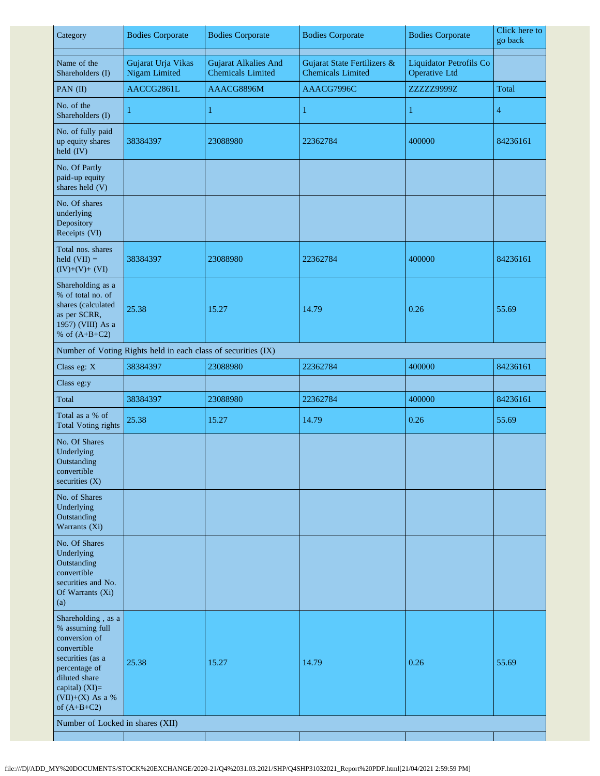| Category                                                                                                                                                                             | <b>Bodies Corporate</b>                                       | <b>Bodies Corporate</b>                                 | <b>Bodies Corporate</b>                                 | <b>Bodies Corporate</b>                                | Click here to<br>go back |
|--------------------------------------------------------------------------------------------------------------------------------------------------------------------------------------|---------------------------------------------------------------|---------------------------------------------------------|---------------------------------------------------------|--------------------------------------------------------|--------------------------|
| Name of the<br>Shareholders (I)                                                                                                                                                      | Gujarat Urja Vikas<br><b>Nigam Limited</b>                    | <b>Gujarat Alkalies And</b><br><b>Chemicals Limited</b> | Gujarat State Fertilizers &<br><b>Chemicals Limited</b> | <b>Liquidator Petrofils Co</b><br><b>Operative Ltd</b> |                          |
| PAN (II)                                                                                                                                                                             | AACCG2861L                                                    | AAACG8896M                                              | AAACG7996C                                              | ZZZZZ9999Z                                             | Total                    |
| No. of the<br>Shareholders (I)                                                                                                                                                       | 1                                                             | $\mathbf{1}$                                            | 1                                                       | $\mathbf{1}$                                           | 4                        |
| No. of fully paid<br>up equity shares<br>held (IV)                                                                                                                                   | 38384397                                                      | 23088980                                                | 22362784                                                | 400000                                                 | 84236161                 |
| No. Of Partly<br>paid-up equity<br>shares held (V)                                                                                                                                   |                                                               |                                                         |                                                         |                                                        |                          |
| No. Of shares<br>underlying<br>Depository<br>Receipts (VI)                                                                                                                           |                                                               |                                                         |                                                         |                                                        |                          |
| Total nos. shares<br>held $(VII) =$<br>$(IV)+(V)+(VI)$                                                                                                                               | 38384397                                                      | 23088980                                                | 22362784                                                | 400000                                                 | 84236161                 |
| Shareholding as a<br>% of total no. of<br>shares (calculated<br>as per SCRR,<br>1957) (VIII) As a<br>% of $(A+B+C2)$                                                                 | 25.38                                                         | 15.27                                                   | 14.79                                                   | 0.26                                                   | 55.69                    |
|                                                                                                                                                                                      | Number of Voting Rights held in each class of securities (IX) |                                                         |                                                         |                                                        |                          |
| Class eg: X                                                                                                                                                                          | 38384397                                                      | 23088980                                                | 22362784                                                | 400000                                                 | 84236161                 |
| Class eg:y                                                                                                                                                                           |                                                               |                                                         |                                                         |                                                        |                          |
| Total                                                                                                                                                                                | 38384397                                                      | 23088980                                                | 22362784                                                | 400000                                                 | 84236161                 |
| Total as a % of<br><b>Total Voting rights</b>                                                                                                                                        | 25.38                                                         | 15.27                                                   | 14.79                                                   | 0.26                                                   | 55.69                    |
| No. Of Shares<br>Underlying<br>Outstanding<br>convertible<br>securities (X)                                                                                                          |                                                               |                                                         |                                                         |                                                        |                          |
| No. of Shares<br>Underlying<br>Outstanding<br>Warrants (Xi)                                                                                                                          |                                                               |                                                         |                                                         |                                                        |                          |
| No. Of Shares<br>Underlying<br>Outstanding<br>convertible<br>securities and No.<br>Of Warrants (Xi)<br>(a)                                                                           |                                                               |                                                         |                                                         |                                                        |                          |
| Shareholding, as a<br>% assuming full<br>conversion of<br>convertible<br>securities (as a<br>percentage of<br>diluted share<br>capital) (XI)=<br>$(VII)+(X)$ As a %<br>of $(A+B+C2)$ | 25.38                                                         | 15.27                                                   | 14.79                                                   | 0.26                                                   | 55.69                    |
| Number of Locked in shares (XII)                                                                                                                                                     |                                                               |                                                         |                                                         |                                                        |                          |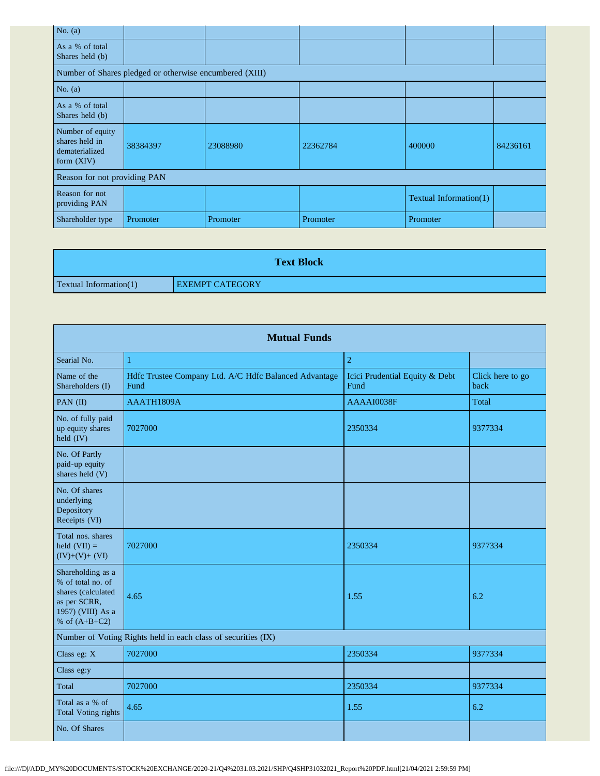| No. $(a)$                                                            |                                                         |          |          |                        |          |
|----------------------------------------------------------------------|---------------------------------------------------------|----------|----------|------------------------|----------|
| As a % of total<br>Shares held (b)                                   |                                                         |          |          |                        |          |
|                                                                      | Number of Shares pledged or otherwise encumbered (XIII) |          |          |                        |          |
| No. $(a)$                                                            |                                                         |          |          |                        |          |
| As a % of total<br>Shares held (b)                                   |                                                         |          |          |                        |          |
| Number of equity<br>shares held in<br>dematerialized<br>form $(XIV)$ | 38384397                                                | 23088980 | 22362784 | 400000                 | 84236161 |
| Reason for not providing PAN                                         |                                                         |          |          |                        |          |
| Reason for not<br>providing PAN                                      |                                                         |          |          | Textual Information(1) |          |
| Shareholder type                                                     | Promoter                                                | Promoter | Promoter | Promoter               |          |

|                               | <b>Text Block</b>      |
|-------------------------------|------------------------|
| <b>Textual Information(1)</b> | <b>EXEMPT CATEGORY</b> |

| <b>Mutual Funds</b>                                                                                                  |                                                               |                                        |                          |  |  |  |  |
|----------------------------------------------------------------------------------------------------------------------|---------------------------------------------------------------|----------------------------------------|--------------------------|--|--|--|--|
| Searial No.                                                                                                          | 1                                                             | $\overline{2}$                         |                          |  |  |  |  |
| Name of the<br>Shareholders (I)                                                                                      | Hdfc Trustee Company Ltd. A/C Hdfc Balanced Advantage<br>Fund | Icici Prudential Equity & Debt<br>Fund | Click here to go<br>back |  |  |  |  |
| PAN (II)                                                                                                             | AAATH1809A                                                    | AAAAI0038F                             | Total                    |  |  |  |  |
| No. of fully paid<br>up equity shares<br>held (IV)                                                                   | 7027000                                                       | 2350334                                | 9377334                  |  |  |  |  |
| No. Of Partly<br>paid-up equity<br>shares held (V)                                                                   |                                                               |                                        |                          |  |  |  |  |
| No. Of shares<br>underlying<br>Depository<br>Receipts (VI)                                                           |                                                               |                                        |                          |  |  |  |  |
| Total nos, shares<br>held $(VII) =$<br>$(IV)+(V)+(VI)$                                                               | 7027000                                                       | 2350334                                | 9377334                  |  |  |  |  |
| Shareholding as a<br>% of total no. of<br>shares (calculated<br>as per SCRR,<br>1957) (VIII) As a<br>% of $(A+B+C2)$ | 4.65                                                          | 1.55                                   | 6.2                      |  |  |  |  |
|                                                                                                                      | Number of Voting Rights held in each class of securities (IX) |                                        |                          |  |  |  |  |
| Class eg: X                                                                                                          | 7027000                                                       | 2350334                                | 9377334                  |  |  |  |  |
| Class eg:y                                                                                                           |                                                               |                                        |                          |  |  |  |  |
| Total                                                                                                                | 7027000                                                       | 2350334                                | 9377334                  |  |  |  |  |
| Total as a % of<br><b>Total Voting rights</b>                                                                        | 4.65                                                          | 1.55                                   | 6.2                      |  |  |  |  |
| No. Of Shares                                                                                                        |                                                               |                                        |                          |  |  |  |  |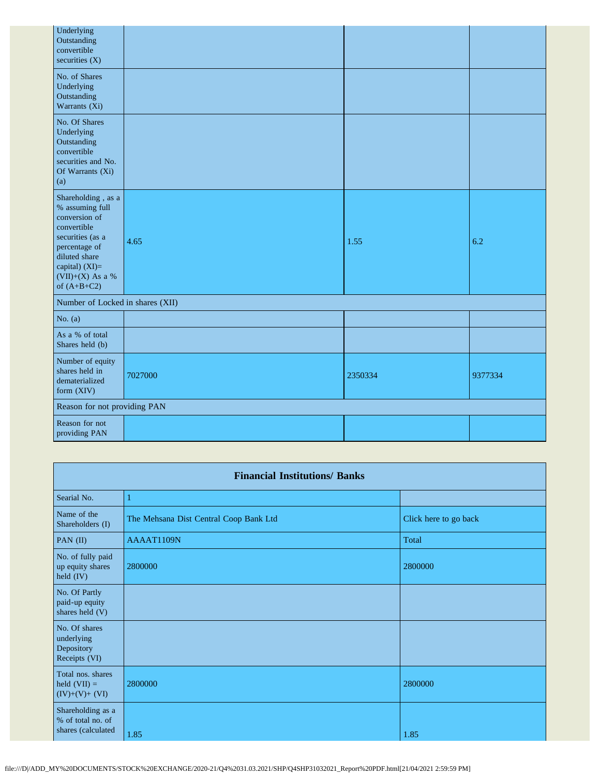| Underlying<br>Outstanding<br>convertible<br>securities $(X)$                                                                                                                           |         |         |         |
|----------------------------------------------------------------------------------------------------------------------------------------------------------------------------------------|---------|---------|---------|
| No. of Shares<br>Underlying<br>Outstanding<br>Warrants (Xi)                                                                                                                            |         |         |         |
| No. Of Shares<br>Underlying<br>Outstanding<br>convertible<br>securities and No.<br>Of Warrants (Xi)<br>(a)                                                                             |         |         |         |
| Shareholding, as a<br>% assuming full<br>conversion of<br>convertible<br>securities (as a<br>percentage of<br>diluted share<br>capital) $(XI)=$<br>$(VII)+(X)$ As a %<br>of $(A+B+C2)$ | 4.65    | 1.55    | 6.2     |
| Number of Locked in shares (XII)                                                                                                                                                       |         |         |         |
| No. $(a)$                                                                                                                                                                              |         |         |         |
| As a % of total<br>Shares held (b)                                                                                                                                                     |         |         |         |
| Number of equity<br>shares held in<br>dematerialized<br>form (XIV)                                                                                                                     | 7027000 | 2350334 | 9377334 |
| Reason for not providing PAN                                                                                                                                                           |         |         |         |
| Reason for not<br>providing PAN                                                                                                                                                        |         |         |         |

| <b>Financial Institutions/ Banks</b>                         |                                        |                       |  |  |
|--------------------------------------------------------------|----------------------------------------|-----------------------|--|--|
| Searial No.                                                  | -1                                     |                       |  |  |
| Name of the<br>Shareholders (I)                              | The Mehsana Dist Central Coop Bank Ltd | Click here to go back |  |  |
| PAN $(II)$                                                   | AAAAT1109N                             | Total                 |  |  |
| No. of fully paid<br>up equity shares<br>held (IV)           | 2800000                                | 2800000               |  |  |
| No. Of Partly<br>paid-up equity<br>shares held (V)           |                                        |                       |  |  |
| No. Of shares<br>underlying<br>Depository<br>Receipts (VI)   |                                        |                       |  |  |
| Total nos. shares<br>held $(VII) =$<br>$(IV)+(V)+(VI)$       | 2800000                                | 2800000               |  |  |
| Shareholding as a<br>% of total no. of<br>shares (calculated | 1.85                                   | 1.85                  |  |  |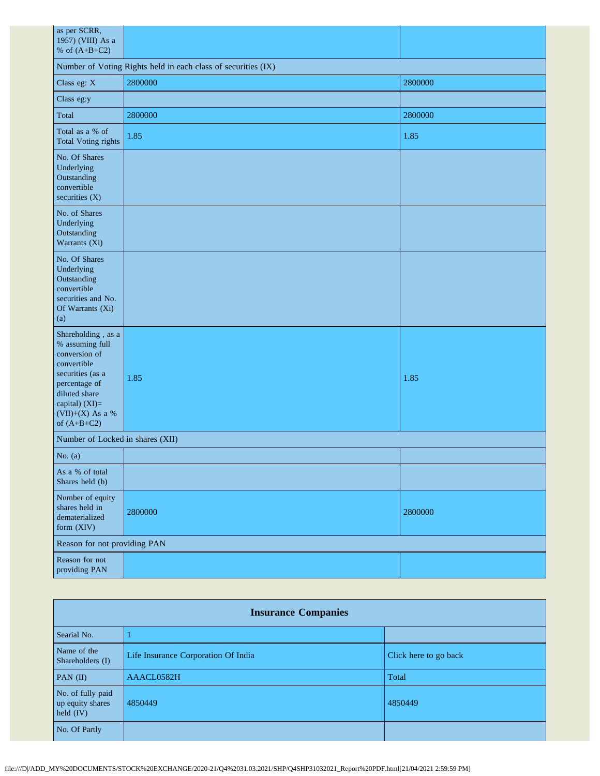| as per SCRR,<br>1957) (VIII) As a<br>% of $(A+B+C2)$                                                                                                                                 |         |         |  |  |  |  |  |  |
|--------------------------------------------------------------------------------------------------------------------------------------------------------------------------------------|---------|---------|--|--|--|--|--|--|
| Number of Voting Rights held in each class of securities (IX)                                                                                                                        |         |         |  |  |  |  |  |  |
| Class eg: X                                                                                                                                                                          | 2800000 | 2800000 |  |  |  |  |  |  |
| Class eg:y                                                                                                                                                                           |         |         |  |  |  |  |  |  |
| Total                                                                                                                                                                                | 2800000 | 2800000 |  |  |  |  |  |  |
| Total as a % of<br><b>Total Voting rights</b>                                                                                                                                        | 1.85    | 1.85    |  |  |  |  |  |  |
| No. Of Shares<br>Underlying<br>Outstanding<br>convertible<br>securities (X)                                                                                                          |         |         |  |  |  |  |  |  |
| No. of Shares<br>Underlying<br>Outstanding<br>Warrants (Xi)                                                                                                                          |         |         |  |  |  |  |  |  |
| No. Of Shares<br>Underlying<br>Outstanding<br>convertible<br>securities and No.<br>Of Warrants (Xi)<br>(a)                                                                           |         |         |  |  |  |  |  |  |
| Shareholding, as a<br>% assuming full<br>conversion of<br>convertible<br>securities (as a<br>percentage of<br>diluted share<br>capital) (XI)=<br>$(VII)+(X)$ As a %<br>of $(A+B+C2)$ | 1.85    | 1.85    |  |  |  |  |  |  |
| Number of Locked in shares (XII)                                                                                                                                                     |         |         |  |  |  |  |  |  |
| No. $(a)$                                                                                                                                                                            |         |         |  |  |  |  |  |  |
| As a % of total<br>Shares held (b)                                                                                                                                                   |         |         |  |  |  |  |  |  |
| Number of equity<br>shares held in<br>dematerialized<br>form (XIV)                                                                                                                   | 2800000 | 2800000 |  |  |  |  |  |  |
| Reason for not providing PAN                                                                                                                                                         |         |         |  |  |  |  |  |  |
| Reason for not<br>providing PAN                                                                                                                                                      |         |         |  |  |  |  |  |  |

|                                                      | <b>Insurance Companies</b>          |                       |  |  |  |  |
|------------------------------------------------------|-------------------------------------|-----------------------|--|--|--|--|
| Searial No.                                          |                                     |                       |  |  |  |  |
| Name of the<br>Shareholders (I)                      | Life Insurance Corporation Of India | Click here to go back |  |  |  |  |
| PAN $(II)$                                           | AAACL0582H                          | Total                 |  |  |  |  |
| No. of fully paid<br>up equity shares<br>held $(IV)$ | 4850449                             | 4850449               |  |  |  |  |
| No. Of Partly                                        |                                     |                       |  |  |  |  |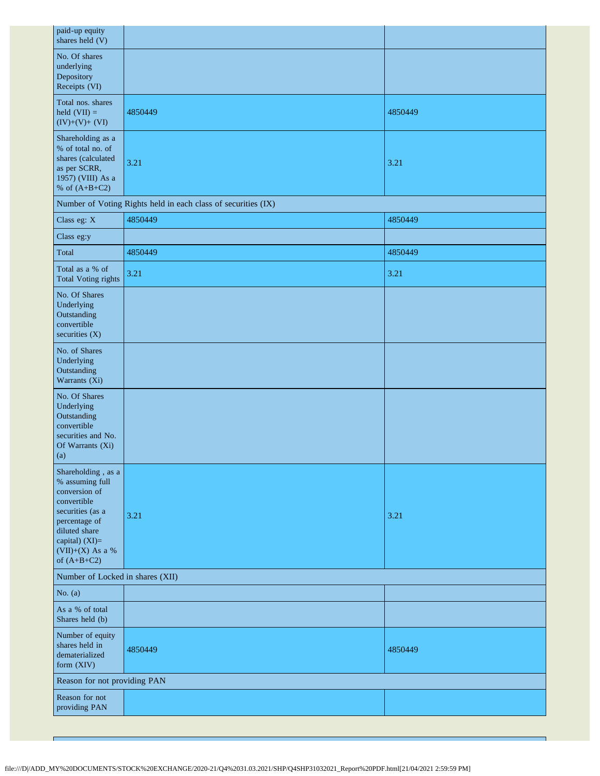| paid-up equity<br>shares held (V)                                                                                                                                                  |                                                               |         |
|------------------------------------------------------------------------------------------------------------------------------------------------------------------------------------|---------------------------------------------------------------|---------|
| No. Of shares<br>underlying<br>Depository<br>Receipts (VI)                                                                                                                         |                                                               |         |
| Total nos. shares<br>held $(VII) =$<br>$(IV)+(V)+(VI)$                                                                                                                             | 4850449                                                       | 4850449 |
| Shareholding as a<br>% of total no. of<br>shares (calculated<br>as per SCRR,<br>1957) (VIII) As a<br>% of $(A+B+C2)$                                                               | 3.21                                                          | 3.21    |
|                                                                                                                                                                                    | Number of Voting Rights held in each class of securities (IX) |         |
| Class eg: X                                                                                                                                                                        | 4850449                                                       | 4850449 |
| Class eg:y                                                                                                                                                                         |                                                               |         |
| Total                                                                                                                                                                              | 4850449                                                       | 4850449 |
| Total as a % of<br><b>Total Voting rights</b>                                                                                                                                      | 3.21                                                          | 3.21    |
| No. Of Shares<br>Underlying<br>Outstanding<br>convertible<br>securities (X)                                                                                                        |                                                               |         |
| No. of Shares<br>Underlying<br>Outstanding<br>Warrants (Xi)                                                                                                                        |                                                               |         |
| No. Of Shares<br>Underlying<br>Outstanding<br>convertible<br>securities and No.<br>Of Warrants (Xi)<br>(a)                                                                         |                                                               |         |
| Shareholding, as a<br>% assuming full<br>conversion of<br>convertible<br>securities (as a<br>percentage of<br>diluted share<br>capital) (XI)=<br>(VII)+(X) As a %<br>of $(A+B+C2)$ | 3.21                                                          | 3.21    |
| Number of Locked in shares (XII)                                                                                                                                                   |                                                               |         |
| No. $(a)$                                                                                                                                                                          |                                                               |         |
| As a % of total<br>Shares held (b)                                                                                                                                                 |                                                               |         |
| Number of equity<br>shares held in<br>dematerialized<br>form (XIV)                                                                                                                 | 4850449                                                       | 4850449 |
| Reason for not providing PAN                                                                                                                                                       |                                                               |         |
| Reason for not<br>providing PAN                                                                                                                                                    |                                                               |         |

f,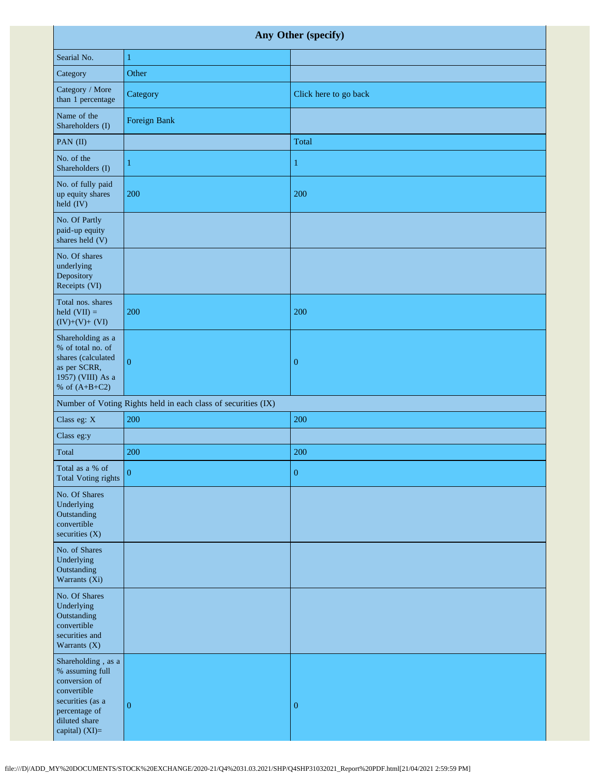| Any Other (specify)                                                                                                                           |                                                               |                       |  |  |
|-----------------------------------------------------------------------------------------------------------------------------------------------|---------------------------------------------------------------|-----------------------|--|--|
| Searial No.                                                                                                                                   | $\mathbf{1}$                                                  |                       |  |  |
| Category                                                                                                                                      | Other                                                         |                       |  |  |
| Category / More<br>than 1 percentage                                                                                                          | Category                                                      | Click here to go back |  |  |
| Name of the<br>Shareholders (I)                                                                                                               | Foreign Bank                                                  |                       |  |  |
| PAN (II)                                                                                                                                      |                                                               | Total                 |  |  |
| No. of the<br>Shareholders (I)                                                                                                                | 1                                                             | $\mathbf{1}$          |  |  |
| No. of fully paid<br>up equity shares<br>held (IV)                                                                                            | 200                                                           | 200                   |  |  |
| No. Of Partly<br>paid-up equity<br>shares held (V)                                                                                            |                                                               |                       |  |  |
| No. Of shares<br>underlying<br>Depository<br>Receipts (VI)                                                                                    |                                                               |                       |  |  |
| Total nos. shares<br>held $(VII) =$<br>$(IV)+(V)+(VI)$                                                                                        | 200                                                           | 200                   |  |  |
| Shareholding as a<br>% of total no. of<br>shares (calculated<br>as per SCRR,<br>1957) (VIII) As a<br>% of $(A+B+C2)$                          | $\overline{0}$                                                | $\boldsymbol{0}$      |  |  |
|                                                                                                                                               | Number of Voting Rights held in each class of securities (IX) |                       |  |  |
| Class eg: X                                                                                                                                   | 200                                                           | 200                   |  |  |
| Class eg:y                                                                                                                                    |                                                               |                       |  |  |
| Total                                                                                                                                         | 200                                                           | 200                   |  |  |
| Total as a % of<br><b>Total Voting rights</b>                                                                                                 | $\overline{0}$                                                | $\boldsymbol{0}$      |  |  |
| No. Of Shares<br>Underlying<br>Outstanding<br>convertible<br>securities (X)                                                                   |                                                               |                       |  |  |
| No. of Shares<br>Underlying<br>Outstanding<br>Warrants (Xi)                                                                                   |                                                               |                       |  |  |
| No. Of Shares<br>Underlying<br>Outstanding<br>convertible<br>securities and<br>Warrants (X)                                                   |                                                               |                       |  |  |
| Shareholding, as a<br>% assuming full<br>conversion of<br>convertible<br>securities (as a<br>percentage of<br>diluted share<br>capital) (XI)= | $\boldsymbol{0}$                                              | $\boldsymbol{0}$      |  |  |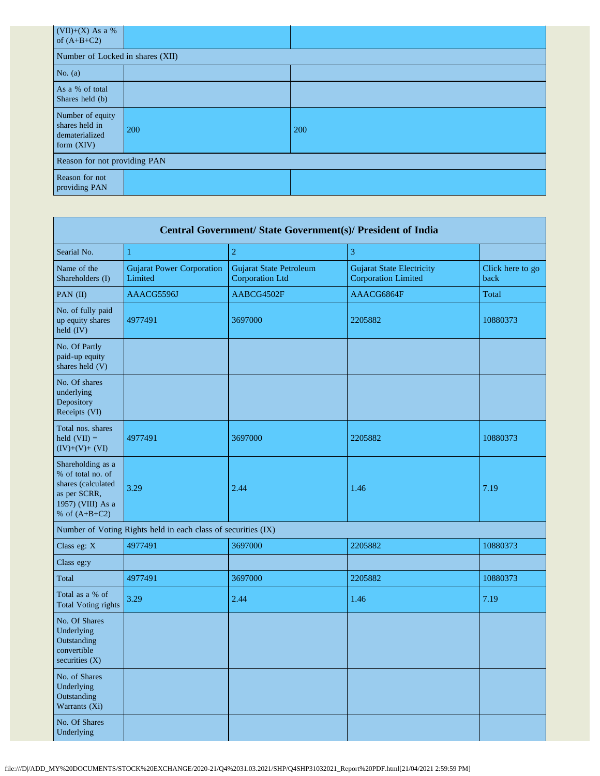| (VII)+(X) As a %<br>of $(A+B+C2)$                                  |     |            |  |  |
|--------------------------------------------------------------------|-----|------------|--|--|
| Number of Locked in shares (XII)                                   |     |            |  |  |
| No. $(a)$                                                          |     |            |  |  |
| As a % of total<br>Shares held (b)                                 |     |            |  |  |
| Number of equity<br>shares held in<br>dematerialized<br>form (XIV) | 200 | <b>200</b> |  |  |
| Reason for not providing PAN                                       |     |            |  |  |
| Reason for not<br>providing PAN                                    |     |            |  |  |

| Central Government/ State Government(s)/ President of India                                                          |                                                               |                                                          |                                                                |                          |  |  |
|----------------------------------------------------------------------------------------------------------------------|---------------------------------------------------------------|----------------------------------------------------------|----------------------------------------------------------------|--------------------------|--|--|
| Searial No.                                                                                                          | 1                                                             | $\overline{c}$                                           | 3                                                              |                          |  |  |
| Name of the<br>Shareholders (I)                                                                                      | <b>Gujarat Power Corporation</b><br>Limited                   | <b>Gujarat State Petroleum</b><br><b>Corporation Ltd</b> | <b>Gujarat State Electricity</b><br><b>Corporation Limited</b> | Click here to go<br>back |  |  |
| PAN (II)                                                                                                             | AAACG5596J                                                    | AABCG4502F                                               | AAACG6864F                                                     | Total                    |  |  |
| No. of fully paid<br>up equity shares<br>held (IV)                                                                   | 4977491                                                       | 3697000                                                  | 2205882                                                        | 10880373                 |  |  |
| No. Of Partly<br>paid-up equity<br>shares held (V)                                                                   |                                                               |                                                          |                                                                |                          |  |  |
| No. Of shares<br>underlying<br>Depository<br>Receipts (VI)                                                           |                                                               |                                                          |                                                                |                          |  |  |
| Total nos. shares<br>held $(VII) =$<br>$(IV)+(V)+(VI)$                                                               | 4977491                                                       | 3697000                                                  | 2205882                                                        | 10880373                 |  |  |
| Shareholding as a<br>% of total no. of<br>shares (calculated<br>as per SCRR,<br>1957) (VIII) As a<br>% of $(A+B+C2)$ | 3.29                                                          | 2.44                                                     | 1.46                                                           | 7.19                     |  |  |
|                                                                                                                      | Number of Voting Rights held in each class of securities (IX) |                                                          |                                                                |                          |  |  |
| Class eg: X                                                                                                          | 4977491                                                       | 3697000                                                  | 2205882                                                        | 10880373                 |  |  |
| Class eg:y                                                                                                           |                                                               |                                                          |                                                                |                          |  |  |
| Total                                                                                                                | 4977491                                                       | 3697000                                                  | 2205882                                                        | 10880373                 |  |  |
| Total as a % of<br><b>Total Voting rights</b>                                                                        | 3.29                                                          | 2.44                                                     | 1.46                                                           | 7.19                     |  |  |
| No. Of Shares<br>Underlying<br>Outstanding<br>convertible<br>securities $(X)$                                        |                                                               |                                                          |                                                                |                          |  |  |
| No. of Shares<br>Underlying<br>Outstanding<br>Warrants (Xi)                                                          |                                                               |                                                          |                                                                |                          |  |  |
| No. Of Shares<br>Underlying                                                                                          |                                                               |                                                          |                                                                |                          |  |  |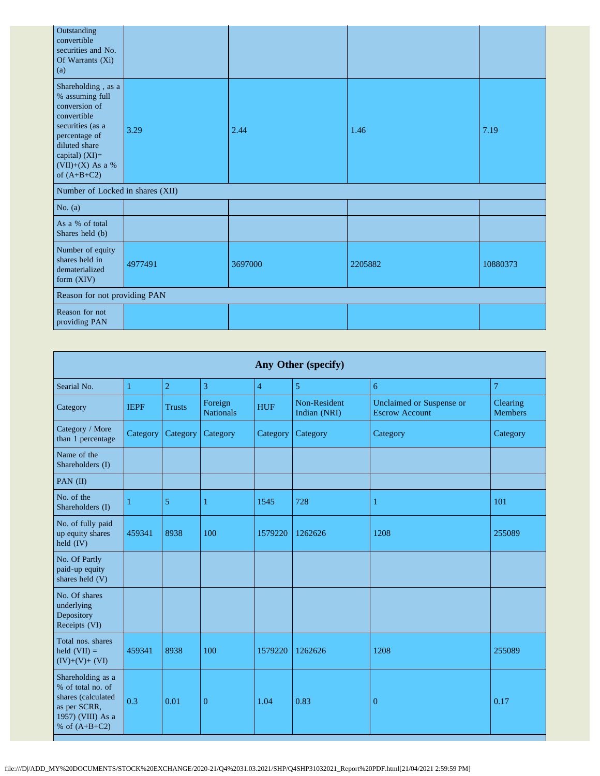| Outstanding<br>convertible<br>securities and No.<br>Of Warrants (Xi)<br>(a)                                                                                                          |                              |         |         |          |  |  |  |
|--------------------------------------------------------------------------------------------------------------------------------------------------------------------------------------|------------------------------|---------|---------|----------|--|--|--|
| Shareholding, as a<br>% assuming full<br>conversion of<br>convertible<br>securities (as a<br>percentage of<br>diluted share<br>capital) $(XI)=$<br>(VII)+(X) As a %<br>of $(A+B+C2)$ | 3.29                         | 2.44    | 1.46    | 7.19     |  |  |  |
| Number of Locked in shares (XII)                                                                                                                                                     |                              |         |         |          |  |  |  |
| No. $(a)$                                                                                                                                                                            |                              |         |         |          |  |  |  |
| As a % of total<br>Shares held (b)                                                                                                                                                   |                              |         |         |          |  |  |  |
| Number of equity<br>shares held in<br>dematerialized<br>form (XIV)                                                                                                                   | 4977491                      | 3697000 | 2205882 | 10880373 |  |  |  |
|                                                                                                                                                                                      | Reason for not providing PAN |         |         |          |  |  |  |
| Reason for not<br>providing PAN                                                                                                                                                      |                              |         |         |          |  |  |  |

|                                                                                                                      | Any Other (specify) |                |                             |                |                                     |                                                          |                            |  |
|----------------------------------------------------------------------------------------------------------------------|---------------------|----------------|-----------------------------|----------------|-------------------------------------|----------------------------------------------------------|----------------------------|--|
| Searial No.                                                                                                          | 1                   | $\overline{2}$ | $\overline{3}$              | $\overline{4}$ | 5                                   | $\overline{6}$                                           | $\overline{7}$             |  |
| Category                                                                                                             | <b>IEPF</b>         | <b>Trusts</b>  | Foreign<br><b>Nationals</b> | <b>HUF</b>     | <b>Non-Resident</b><br>Indian (NRI) | <b>Unclaimed or Suspense or</b><br><b>Escrow Account</b> | Clearing<br><b>Members</b> |  |
| Category / More<br>than 1 percentage                                                                                 | Category            | Category       | Category                    | Category       | Category                            | Category                                                 | Category                   |  |
| Name of the<br>Shareholders (I)                                                                                      |                     |                |                             |                |                                     |                                                          |                            |  |
| PAN $(II)$                                                                                                           |                     |                |                             |                |                                     |                                                          |                            |  |
| No. of the<br>Shareholders (I)                                                                                       |                     | 5              | 1                           | 1545           | 728                                 | 1                                                        | 101                        |  |
| No. of fully paid<br>up equity shares<br>$\text{held } (IV)$                                                         | 459341              | 8938           | 100                         | 1579220        | 1262626                             | 1208                                                     | 255089                     |  |
| No. Of Partly<br>paid-up equity<br>shares held (V)                                                                   |                     |                |                             |                |                                     |                                                          |                            |  |
| No. Of shares<br>underlying<br>Depository<br>Receipts (VI)                                                           |                     |                |                             |                |                                     |                                                          |                            |  |
| Total nos. shares<br>held $(VII) =$<br>$(IV)+(V)+(VI)$                                                               | 459341              | 8938           | 100                         | 1579220        | 1262626                             | 1208                                                     | 255089                     |  |
| Shareholding as a<br>% of total no. of<br>shares (calculated<br>as per SCRR,<br>1957) (VIII) As a<br>% of $(A+B+C2)$ | 0.3                 | 0.01           | $\mathbf{0}$                | 1.04           | 0.83                                | 0                                                        | 0.17                       |  |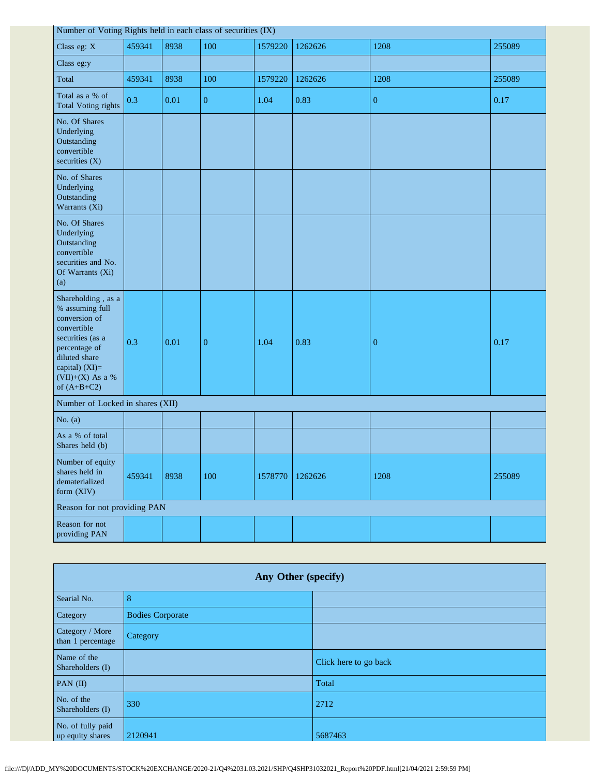| Number of Voting Rights held in each class of securities (IX)                                                                                                                          |        |      |                |         |         |                  |        |
|----------------------------------------------------------------------------------------------------------------------------------------------------------------------------------------|--------|------|----------------|---------|---------|------------------|--------|
| Class eg: X                                                                                                                                                                            | 459341 | 8938 | 100            | 1579220 | 1262626 | 1208             | 255089 |
| Class eg:y                                                                                                                                                                             |        |      |                |         |         |                  |        |
| Total                                                                                                                                                                                  | 459341 | 8938 | 100            | 1579220 | 1262626 | 1208             | 255089 |
| Total as a % of<br><b>Total Voting rights</b>                                                                                                                                          | 0.3    | 0.01 | $\overline{0}$ | 1.04    | 0.83    | $\boldsymbol{0}$ | 0.17   |
| No. Of Shares<br>Underlying<br>Outstanding<br>convertible<br>securities (X)                                                                                                            |        |      |                |         |         |                  |        |
| No. of Shares<br>Underlying<br>Outstanding<br>Warrants (Xi)                                                                                                                            |        |      |                |         |         |                  |        |
| No. Of Shares<br>Underlying<br>Outstanding<br>convertible<br>securities and No.<br>Of Warrants (Xi)<br>(a)                                                                             |        |      |                |         |         |                  |        |
| Shareholding, as a<br>% assuming full<br>conversion of<br>convertible<br>securities (as a<br>percentage of<br>diluted share<br>capital) $(XI)=$<br>$(VII)+(X)$ As a %<br>of $(A+B+C2)$ | 0.3    | 0.01 | $\overline{0}$ | 1.04    | 0.83    | $\mathbf{0}$     | 0.17   |
| Number of Locked in shares (XII)                                                                                                                                                       |        |      |                |         |         |                  |        |
| No. $(a)$                                                                                                                                                                              |        |      |                |         |         |                  |        |
| As a % of total<br>Shares held (b)                                                                                                                                                     |        |      |                |         |         |                  |        |
| Number of equity<br>shares held in<br>dematerialized<br>form (XIV)                                                                                                                     | 459341 | 8938 | 100            | 1578770 | 1262626 | 1208             | 255089 |
| Reason for not providing PAN                                                                                                                                                           |        |      |                |         |         |                  |        |
| Reason for not<br>providing PAN                                                                                                                                                        |        |      |                |         |         |                  |        |

| Any Other (specify)                   |                         |                       |  |
|---------------------------------------|-------------------------|-----------------------|--|
| Searial No.                           | 8                       |                       |  |
| Category                              | <b>Bodies Corporate</b> |                       |  |
| Category / More<br>than 1 percentage  | Category                |                       |  |
| Name of the<br>Shareholders (I)       |                         | Click here to go back |  |
| PAN $(II)$                            |                         | Total                 |  |
| No. of the<br>Shareholders (I)        | 330                     | 2712                  |  |
| No. of fully paid<br>up equity shares | 2120941                 | 5687463               |  |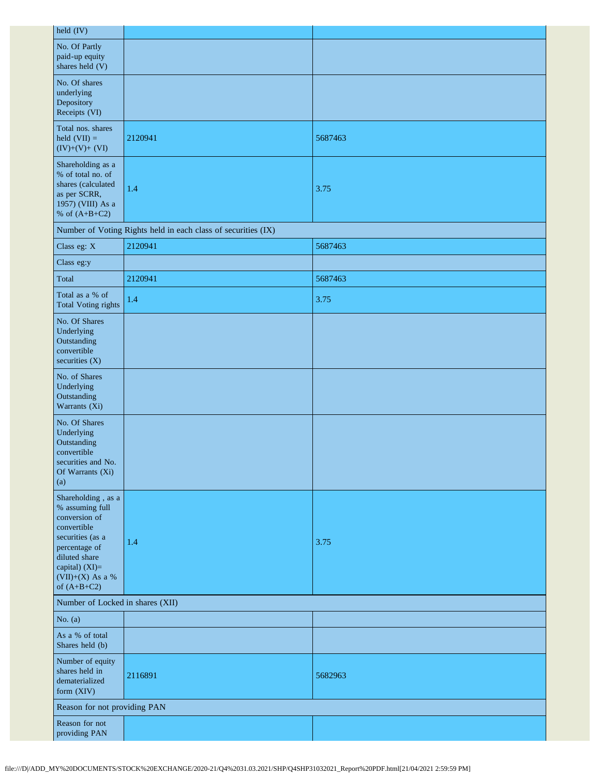| held (IV)                                                                                                                                                                          |                                                               |         |  |  |
|------------------------------------------------------------------------------------------------------------------------------------------------------------------------------------|---------------------------------------------------------------|---------|--|--|
| No. Of Partly<br>paid-up equity<br>shares held (V)                                                                                                                                 |                                                               |         |  |  |
| No. Of shares<br>underlying<br>Depository<br>Receipts (VI)                                                                                                                         |                                                               |         |  |  |
| Total nos. shares<br>held $(VII) =$<br>$(IV)+(V)+(VI)$                                                                                                                             | 2120941                                                       | 5687463 |  |  |
| Shareholding as a<br>% of total no. of<br>shares (calculated<br>as per SCRR,<br>1957) (VIII) As a<br>% of $(A+B+C2)$                                                               | 1.4                                                           | 3.75    |  |  |
|                                                                                                                                                                                    | Number of Voting Rights held in each class of securities (IX) |         |  |  |
| Class eg: X                                                                                                                                                                        | 2120941                                                       | 5687463 |  |  |
| Class eg:y                                                                                                                                                                         |                                                               |         |  |  |
| Total                                                                                                                                                                              | 2120941                                                       | 5687463 |  |  |
| Total as a % of<br><b>Total Voting rights</b>                                                                                                                                      | 1.4                                                           | 3.75    |  |  |
| No. Of Shares<br>Underlying<br>Outstanding<br>convertible<br>securities $(X)$                                                                                                      |                                                               |         |  |  |
| No. of Shares<br>Underlying<br>Outstanding<br>Warrants (Xi)                                                                                                                        |                                                               |         |  |  |
| No. Of Shares<br>Underlying<br>Outstanding<br>convertible<br>securities and No.<br>Of Warrants (Xi)<br>(a)                                                                         |                                                               |         |  |  |
| Shareholding, as a<br>% assuming full<br>conversion of<br>convertible<br>securities (as a<br>percentage of<br>diluted share<br>capital) (XI)=<br>(VII)+(X) As a %<br>of $(A+B+C2)$ | 1.4                                                           | 3.75    |  |  |
| Number of Locked in shares (XII)                                                                                                                                                   |                                                               |         |  |  |
| No. $(a)$                                                                                                                                                                          |                                                               |         |  |  |
| As a % of total<br>Shares held (b)                                                                                                                                                 |                                                               |         |  |  |
| Number of equity<br>shares held in<br>dematerialized<br>form (XIV)                                                                                                                 | 2116891                                                       | 5682963 |  |  |
| Reason for not providing PAN                                                                                                                                                       |                                                               |         |  |  |
| Reason for not<br>providing PAN                                                                                                                                                    |                                                               |         |  |  |